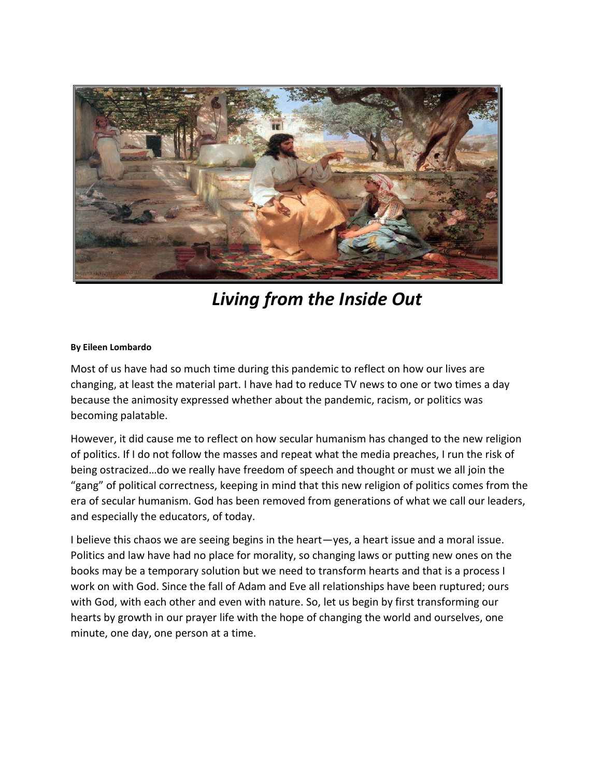

*Living from the Inside Out*

## **By Eileen Lombardo**

Most of us have had so much time during this pandemic to reflect on how our lives are changing, at least the material part. I have had to reduce TV news to one or two times a day because the animosity expressed whether about the pandemic, racism, or politics was becoming palatable.

However, it did cause me to reflect on how secular humanism has changed to the new religion of politics. If I do not follow the masses and repeat what the media preaches, I run the risk of being ostracized…do we really have freedom of speech and thought or must we all join the "gang" of political correctness, keeping in mind that this new religion of politics comes from the era of secular humanism. God has been removed from generations of what we call our leaders, and especially the educators, of today.

I believe this chaos we are seeing begins in the heart—yes, a heart issue and a moral issue. Politics and law have had no place for morality, so changing laws or putting new ones on the books may be a temporary solution but we need to transform hearts and that is a process I work on with God. Since the fall of Adam and Eve all relationships have been ruptured; ours with God, with each other and even with nature. So, let us begin by first transforming our hearts by growth in our prayer life with the hope of changing the world and ourselves, one minute, one day, one person at a time.